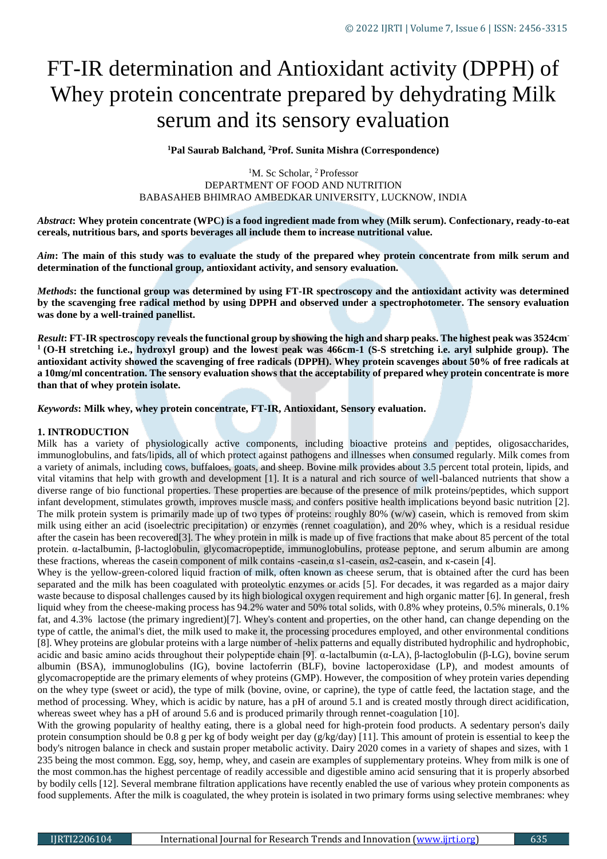# FT-IR determination and Antioxidant activity (DPPH) of Whey protein concentrate prepared by dehydrating Milk serum and its sensory evaluation

### **<sup>1</sup>Pal Saurab Balchand, <sup>2</sup>Prof. Sunita Mishra (Correspondence)**

<sup>1</sup>M. Sc Scholar, <sup>2</sup> Professor DEPARTMENT OF FOOD AND NUTRITION BABASAHEB BHIMRAO AMBEDKAR UNIVERSITY, LUCKNOW, INDIA

*Abstract***: Whey protein concentrate (WPC) is a food ingredient made from whey (Milk serum). Confectionary, ready-to-eat cereals, nutritious bars, and sports beverages all include them to increase nutritional value.**

*Aim***: The main of this study was to evaluate the study of the prepared whey protein concentrate from milk serum and determination of the functional group, antioxidant activity, and sensory evaluation.** 

*Methods***: the functional group was determined by using FT-IR spectroscopy and the antioxidant activity was determined by the scavenging free radical method by using DPPH and observed under a spectrophotometer. The sensory evaluation was done by a well-trained panellist.** 

*Result***: FT-IR spectroscopy reveals the functional group by showing the high and sharp peaks. The highest peak was 3524cm-<sup>1</sup>(O-H stretching i.e., hydroxyl group) and the lowest peak was 466cm-1 (S-S stretching i.e. aryl sulphide group). The antioxidant activity showed the scavenging of free radicals (DPPH). Whey protein scavenges about 50% of free radicals at a 10mg/ml concentration. The sensory evaluation shows that the acceptability of prepared whey protein concentrate is more than that of whey protein isolate.** 

*Keywords***: Milk whey, whey protein concentrate, FT-IR, Antioxidant, Sensory evaluation.**

#### **1. INTRODUCTION**

Milk has a variety of physiologically active components, including bioactive proteins and peptides, oligosaccharides, immunoglobulins, and fats/lipids, all of which protect against pathogens and illnesses when consumed regularly. Milk comes from a variety of animals, including cows, buffaloes, goats, and sheep. Bovine milk provides about 3.5 percent total protein, lipids, and vital vitamins that help with growth and development [1]. It is a natural and rich source of well-balanced nutrients that show a diverse range of bio functional properties. These properties are because of the presence of milk proteins/peptides, which support infant development, stimulates growth, improves muscle mass, and confers positive health implications beyond basic nutrition [2]. The milk protein system is primarily made up of two types of proteins: roughly 80% (w/w) casein, which is removed from skim milk using either an acid (isoelectric precipitation) or enzymes (rennet coagulation), and 20% whey, which is a residual residue after the casein has been recovered[3]. The whey protein in milk is made up of five fractions that make about 85 percent of the total protein. α-lactalbumin, β-lactoglobulin, glycomacropeptide, immunoglobulins, protease peptone, and serum albumin are among these fractions, whereas the casein component of milk contains -casein,α s1-casein, αs2-casein, and к-casein [4].

Whey is the yellow-green-colored liquid fraction of milk, often known as cheese serum, that is obtained after the curd has been separated and the milk has been coagulated with proteolytic enzymes or acids [5]. For decades, it was regarded as a major dairy waste because to disposal challenges caused by its high biological oxygen requirement and high organic matter [6]. In general, fresh liquid whey from the cheese-making process has 94.2% water and 50% total solids, with 0.8% whey proteins, 0.5% minerals, 0.1% fat, and 4.3% lactose (the primary ingredient)[7]. Whey's content and properties, on the other hand, can change depending on the type of cattle, the animal's diet, the milk used to make it, the processing procedures employed, and other environmental conditions [8]. Whey proteins are globular proteins with a large number of -helix patterns and equally distributed hydrophilic and hydrophobic, acidic and basic amino acids throughout their polypeptide chain [9]. α-lactalbumin (α-LA), β-lactoglobulin (β-LG), bovine serum albumin (BSA), immunoglobulins (IG), bovine lactoferrin (BLF), bovine lactoperoxidase (LP), and modest amounts of glycomacropeptide are the primary elements of whey proteins (GMP). However, the composition of whey protein varies depending on the whey type (sweet or acid), the type of milk (bovine, ovine, or caprine), the type of cattle feed, the lactation stage, and the method of processing. Whey, which is acidic by nature, has a pH of around 5.1 and is created mostly through direct acidification, whereas sweet whey has a pH of around 5.6 and is produced primarily through rennet-coagulation [10].

With the growing popularity of healthy eating, there is a global need for high-protein food products. A sedentary person's daily protein consumption should be 0.8 g per kg of body weight per day (g/kg/day) [11]. This amount of protein is essential to keep the body's nitrogen balance in check and sustain proper metabolic activity. Dairy 2020 comes in a variety of shapes and sizes, with 1 235 being the most common. Egg, soy, hemp, whey, and casein are examples of supplementary proteins. Whey from milk is one of the most common.has the highest percentage of readily accessible and digestible amino acid sensuring that it is properly absorbed by bodily cells [12]. Several membrane filtration applications have recently enabled the use of various whey protein components as food supplements. After the milk is coagulated, the whey protein is isolated in two primary forms using selective membranes: whey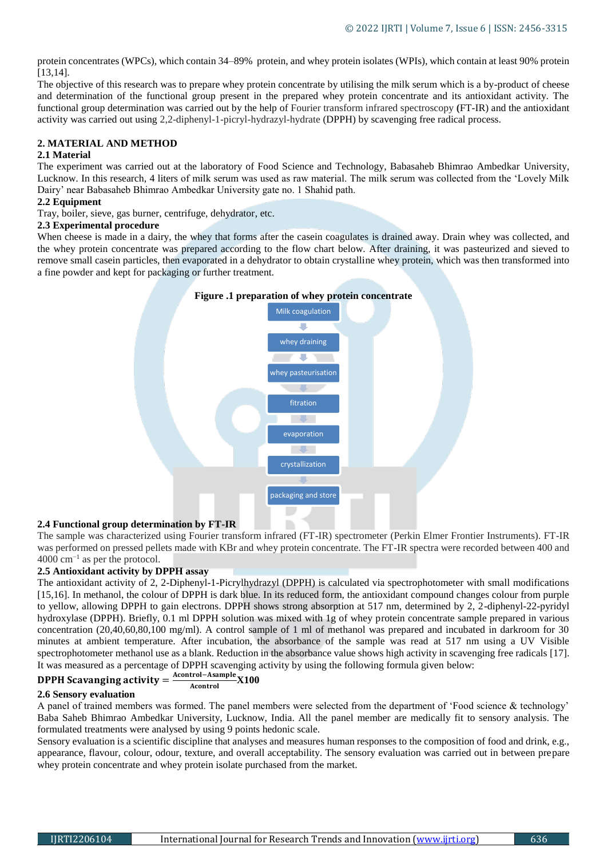protein concentrates (WPCs), which contain 34–89% protein, and whey protein isolates (WPIs), which contain at least 90% protein [13,14].

The objective of this research was to prepare whey protein concentrate by utilising the milk serum which is a by-product of cheese and determination of the functional group present in the prepared whey protein concentrate and its antioxidant activity. The functional group determination was carried out by the help of Fourier transform infrared spectroscopy **(**FT-IR) and the antioxidant activity was carried out using 2,2-diphenyl-1-picryl-hydrazyl-hydrate (DPPH) by scavenging free radical process.

#### **2. MATERIAL AND METHOD**

#### **2.1 Material**

The experiment was carried out at the laboratory of Food Science and Technology, Babasaheb Bhimrao Ambedkar University, Lucknow. In this research, 4 liters of milk serum was used as raw material. The milk serum was collected from the 'Lovely Milk Dairy' near Babasaheb Bhimrao Ambedkar University gate no. 1 Shahid path.

#### **2.2 Equipment**

Tray, boiler, sieve, gas burner, centrifuge, dehydrator, etc.

#### **2.3 Experimental procedure**

When cheese is made in a dairy, the whey that forms after the casein coagulates is drained away. Drain whey was collected, and the whey protein concentrate was prepared according to the flow chart below. After draining, it was pasteurized and sieved to remove small casein particles, then evaporated in a dehydrator to obtain crystalline whey protein, which was then transformed into a fine powder and kept for packaging or further treatment.



#### **2.4 Functional group determination by FT-IR**

The sample was characterized using Fourier transform infrared (FT-IR) spectrometer (Perkin Elmer Frontier Instruments). FT-IR was performed on pressed pellets made with KBr and whey protein concentrate. The FT-IR spectra were recorded between 400 and  $4000 \text{ cm}^{-1}$  as per the protocol.

D

#### **2.5 Antioxidant activity by DPPH assay**

The antioxidant activity of 2, 2-Diphenyl-1-Picrylhydrazyl (DPPH) is calculated via spectrophotometer with small modifications [15,16]. In methanol, the colour of DPPH is dark blue. In its reduced form, the antioxidant compound changes colour from purple to yellow, allowing DPPH to gain electrons. DPPH shows strong absorption at 517 nm, determined by 2, 2-diphenyl-22-pyridyl hydroxylase (DPPH). Briefly, 0.1 ml DPPH solution was mixed with 1g of whey protein concentrate sample prepared in various concentration (20,40,60,80,100 mg/ml). A control sample of 1 ml of methanol was prepared and incubated in darkroom for 30 minutes at ambient temperature. After incubation, the absorbance of the sample was read at 517 nm using a UV Visible spectrophotometer methanol use as a blank. Reduction in the absorbance value shows high activity in scavenging free radicals [17]. It was measured as a percentage of DPPH scavenging activity by using the following formula given below:

#### **DPPH Scavanging activity**  $=\frac{\text{Acontrol–Asample}}{\text{Acentral}}$  X100 Acontrol

#### **2.6 Sensory evaluation**

A panel of trained members was formed. The panel members were selected from the department of 'Food science & technology' Baba Saheb Bhimrao Ambedkar University, Lucknow, India. All the panel member are medically fit to sensory analysis. The formulated treatments were analysed by using 9 points hedonic scale.

Sensory evaluation is a scientific discipline that analyses and measures human responses to the composition of food and drink, e.g., appearance, flavour, colour, odour, texture, and overall acceptability. The sensory evaluation was carried out in between prepare whey protein concentrate and whey protein isolate purchased from the market.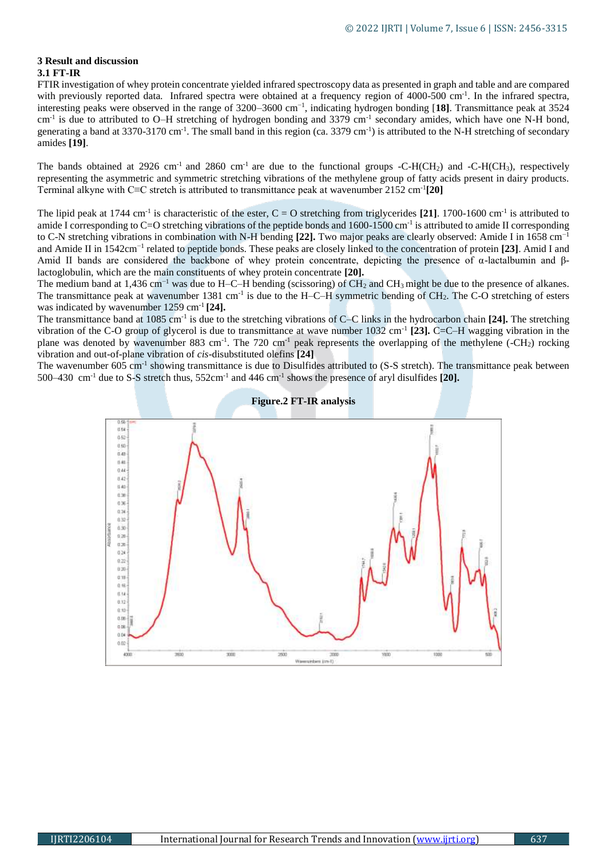#### **3 Result and discussion 3.1 FT-IR**

FTIR investigation of whey protein concentrate yielded infrared spectroscopy data as presented in graph and table and are compared with previously reported data. Infrared spectra were obtained at a frequency region of 4000-500 cm<sup>-1</sup>. In the infrared spectra, interesting peaks were observed in the range of 3200–3600 cm−1 , indicating hydrogen bonding [**18]**. Transmittance peak at 3524 cm<sup>-1</sup> is due to attributed to O–H stretching of hydrogen bonding and 3379 cm<sup>-1</sup> secondary amides, which have one N-H bond, generating a band at 3370-3170 cm<sup>-1</sup>. The small band in this region (ca. 3379 cm<sup>-1</sup>) is attributed to the N-H stretching of secondary amides **[19]**.

The bands obtained at 2926 cm<sup>-1</sup> and 2860 cm<sup>-1</sup> are due to the functional groups -C-H(CH<sub>2</sub>) and -C-H(CH<sub>3</sub>), respectively representing the asymmetric and symmetric stretching vibrations of the methylene group of fatty acids present in dairy products. Terminal alkyne with C≡C stretch is attributed to transmittance peak at wavenumber 2152 cm-1 **[20]** 

The lipid peak at 1744 cm<sup>-1</sup> is characteristic of the ester,  $C = O$  stretching from triglycerides [21]. 1700-1600 cm<sup>-1</sup> is attributed to amide I corresponding to C=O stretching vibrations of the peptide bonds and  $1600-1500$  cm<sup>-1</sup> is attributed to amide II corresponding to C-N stretching vibrations in combination with N-H bending **[22].** Two major peaks are clearly observed: Amide I in 1658 cm−1 and Amide II in 1542cm−1 related to peptide bonds. These peaks are closely linked to the concentration of protein **[23]**. Amid I and Amid II bands are considered the backbone of whey protein concentrate, depicting the presence of α-lactalbumin and βlactoglobulin, which are the main constituents of whey protein concentrate **[20].**

The medium band at 1,436 cm<sup>-1</sup> was due to H–C–H bending (scissoring) of CH<sub>2</sub> and CH<sub>3</sub> might be due to the presence of alkanes. The transmittance peak at wavenumber 1381 cm<sup>-1</sup> is due to the H–C–H symmetric bending of CH<sub>2</sub>. The C-O stretching of esters was indicated by wavenumber 1259 cm<sup>-1</sup> [24].

The transmittance band at 1085 cm<sup>-1</sup> is due to the stretching vibrations of C–C links in the hydrocarbon chain [24]. The stretching vibration of the C-O group of glycerol is due to transmittance at wave number 1032 cm-1 **[23].** C=C–H wagging vibration in the plane was denoted by wavenumber 883 cm<sup>-1</sup>. The 720 cm<sup>-1</sup> peak represents the overlapping of the methylene (-CH<sub>2</sub>) rocking vibration and out-of-plane vibration of *cis*-disubstituted olefins **[24]**

The wavenumber 605 cm<sup>-1</sup> showing transmittance is due to Disulfides attributed to (S-S stretch). The transmittance peak between 500–430 cm<sup>-1</sup> due to S-S stretch thus,  $552 \text{cm}^{-1}$  and  $446 \text{ cm}^{-1}$  shows the presence of aryl disulfides [20].

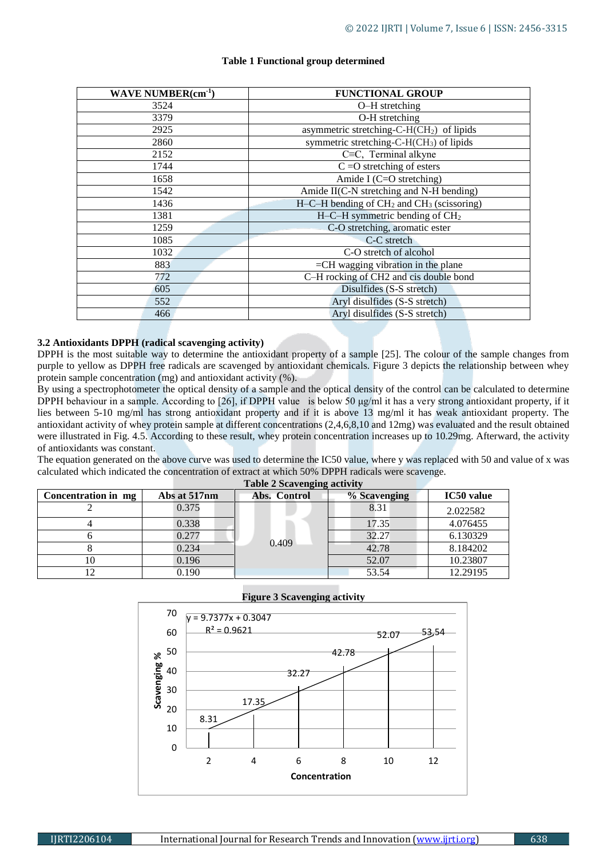| <b>WAVE NUMBER(cm-1)</b> | <b>FUNCTIONAL GROUP</b>                                           |  |  |  |  |
|--------------------------|-------------------------------------------------------------------|--|--|--|--|
| 3524                     | O-H stretching                                                    |  |  |  |  |
| 3379                     | O-H stretching                                                    |  |  |  |  |
| 2925                     | asymmetric stretching-C-H(CH <sub>2</sub> ) of lipids             |  |  |  |  |
| 2860                     | symmetric stretching-C-H(CH <sub>3</sub> ) of lipids              |  |  |  |  |
| 2152                     | $C \equiv C$ , Terminal alkyne                                    |  |  |  |  |
| 1744                     | $C = O$ stretching of esters                                      |  |  |  |  |
| 1658                     | Amide I $(C=O$ stretching)                                        |  |  |  |  |
| 1542                     | Amide II(C-N stretching and N-H bending)                          |  |  |  |  |
| 1436                     | H-C-H bending of CH <sub>2</sub> and CH <sub>3</sub> (scissoring) |  |  |  |  |
| 1381                     | $H$ –C–H symmetric bending of CH <sub>2</sub>                     |  |  |  |  |
| 1259                     | C-O stretching, aromatic ester                                    |  |  |  |  |
| 1085                     | C-C stretch                                                       |  |  |  |  |
| 1032                     | C-O stretch of alcohol                                            |  |  |  |  |
| 883                      | =CH wagging vibration in the plane                                |  |  |  |  |
| 772                      | C-H rocking of CH2 and cis double bond                            |  |  |  |  |
| 605                      | Disulfides (S-S stretch)                                          |  |  |  |  |
| 552                      | Aryl disulfides (S-S stretch)                                     |  |  |  |  |
| 466                      | Aryl disulfides (S-S stretch)                                     |  |  |  |  |
|                          |                                                                   |  |  |  |  |

#### **Table 1 Functional group determined**

### **3.2 Antioxidants DPPH (radical scavenging activity)**

DPPH is the most suitable way to determine the antioxidant property of a sample [25]. The colour of the sample changes from purple to yellow as DPPH free radicals are scavenged by antioxidant chemicals. Figure 3 depicts the relationship between whey protein sample concentration (mg) and antioxidant activity (%).

By using a spectrophotometer the optical density of a sample and the optical density of the control can be calculated to determine DPPH behaviour in a sample. According to [26], if DPPH value is below 50 μg/ml it has a very strong antioxidant property, if it lies between 5-10 mg/ml has strong antioxidant property and if it is above 13 mg/ml it has weak antioxidant property. The antioxidant activity of whey protein sample at different concentrations (2,4,6,8,10 and 12mg) was evaluated and the result obtained were illustrated in Fig. 4.5. According to these result, whey protein concentration increases up to 10.29mg. Afterward, the activity of antioxidants was constant.

The equation generated on the above curve was used to determine the IC50 value, where y was replaced with 50 and value of x was calculated which indicated the concentration of extract at which 50% DPPH radicals were scavenge.

|                     | <b>Table 2 Scavenging activity</b> |              |              |            |  |  |  |
|---------------------|------------------------------------|--------------|--------------|------------|--|--|--|
| Concentration in mg | Abs at 517nm                       | Abs. Control | % Scavenging | IC50 value |  |  |  |
|                     | 0.375                              |              | 8.31         | 2.022582   |  |  |  |
|                     | 0.338                              |              | 17.35        | 4.076455   |  |  |  |
|                     | 0.277                              |              | 32.27        | 6.130329   |  |  |  |
|                     | 0.234                              | 0.409        | 42.78        | 8.184202   |  |  |  |
| 10                  | 0.196                              |              | 52.07        | 10.23807   |  |  |  |
| 12                  | 0.190                              |              | 53.54        | 12.29195   |  |  |  |



**Figure 3 Scavenging activity**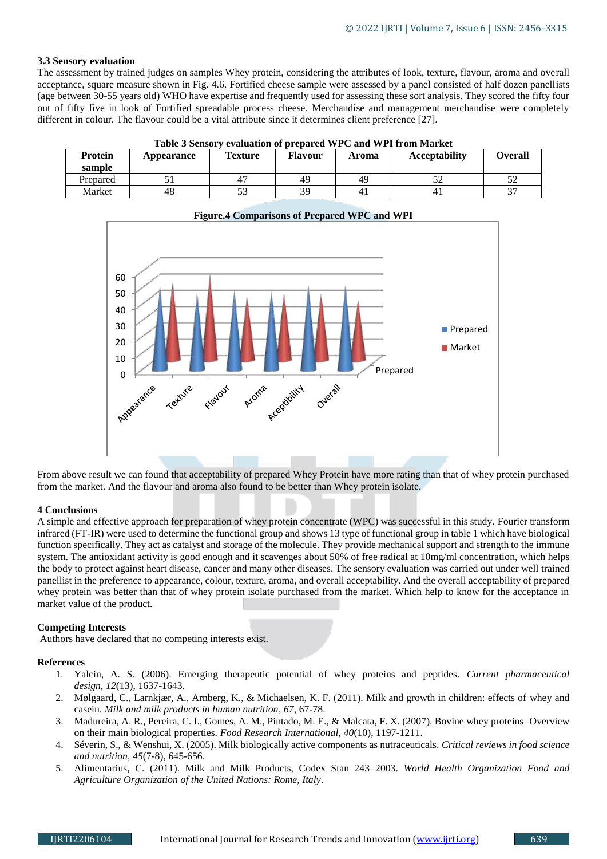#### **3.3 Sensory evaluation**

The assessment by trained judges on samples Whey protein, considering the attributes of look, texture, flavour, aroma and overall acceptance, square measure shown in Fig. 4.6. Fortified cheese sample were assessed by a panel consisted of half dozen panellists (age between 30-55 years old) WHO have expertise and frequently used for assessing these sort analysis. They scored the fifty four out of fifty five in look of Fortified spreadable process cheese. Merchandise and management merchandise were completely different in colour. The flavour could be a vital attribute since it determines client preference [27].

|  | Table 3 Sensory evaluation of prepared WPC and WPI from Market |
|--|----------------------------------------------------------------|
|--|----------------------------------------------------------------|

| <b>Protein</b><br>sample | Appearance | <b>Texture</b> | <b>Flavour</b> | Aroma          | <b>Acceptability</b> | <b>Overall</b> |
|--------------------------|------------|----------------|----------------|----------------|----------------------|----------------|
| Prepared                 |            |                | 49             | 49             | ◡                    |                |
| Market                   | 48         | JJ             | 39             | 4 <sub>1</sub> |                      | $\sim$         |



## **Figure.4 Comparisons of Prepared WPC and WPI**

From above result we can found that acceptability of prepared Whey Protein have more rating than that of whey protein purchased from the market. And the flavour and aroma also found to be better than Whey protein isolate.

#### **4 Conclusions**

A simple and effective approach for preparation of whey protein concentrate (WPC) was successful in this study. Fourier transform infrared (FT-IR) were used to determine the functional group and shows 13 type of functional group in table 1 which have biological function specifically. They act as catalyst and storage of the molecule. They provide mechanical support and strength to the immune system. The antioxidant activity is good enough and it scavenges about 50% of free radical at 10mg/ml concentration, which helps the body to protect against heart disease, cancer and many other diseases. The sensory evaluation was carried out under well trained panellist in the preference to appearance, colour, texture, aroma, and overall acceptability. And the overall acceptability of prepared whey protein was better than that of whey protein isolate purchased from the market. Which help to know for the acceptance in market value of the product.

#### **Competing Interests**

Authors have declared that no competing interests exist.

#### **References**

- 1. Yalcin, A. S. (2006). Emerging therapeutic potential of whey proteins and peptides. *Current pharmaceutical design*, *12*(13), 1637-1643.
- 2. Mølgaard, C., Larnkjær, A., Arnberg, K., & Michaelsen, K. F. (2011). Milk and growth in children: effects of whey and casein. *Milk and milk products in human nutrition*, *67*, 67-78.
- 3. Madureira, A. R., Pereira, C. I., Gomes, A. M., Pintado, M. E., & Malcata, F. X. (2007). Bovine whey proteins–Overview on their main biological properties. *Food Research International*, *40*(10), 1197-1211.
- 4. Séverin, S., & Wenshui, X. (2005). Milk biologically active components as nutraceuticals. *Critical reviews in food science and nutrition*, *45*(7-8), 645-656.
- 5. Alimentarius, C. (2011). Milk and Milk Products, Codex Stan 243–2003. *World Health Organization Food and Agriculture Organization of the United Nations: Rome, Italy*.